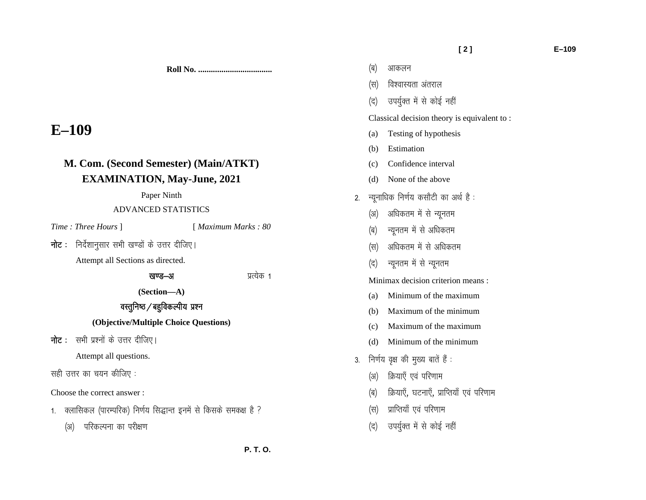**Roll No. ...................................** 

# **E–109**

## **M. Com. (Second Semester) (Main/ATKT) EXAMINATION, May-June, 2021**

### Paper Ninth

## ADVANCED STATISTICS

*Time : Three Hours* ] [ *Maximum Marks : 80* 

 $\overline{\mathsf{h}}$ ट : निर्देशानुसार सभी खण्डों के उत्तर दीजिए।

Attempt all Sections as directed.

## खण्ड–अ ब्याह्य कर्ने प्रत्येक 1

**(Section—A)** 

## वस्तुनिष्ठ $\sqrt{ }$ बहुविकल्पीय प्रश्न

## **(Objective/Multiple Choice Questions)**

**नोट**: सभी प्रश्नों के उत्तर दीजिए।

Attempt all questions.

सही उत्तर का चयन कीजिए :

Choose the correct answer :

1. क्लासिकल (पारम्परिक) निर्णय सिद्धान्त इनमें से किसके समकक्ष है ?

(अ) परिकल्पना का परीक्षण

- (ब) आकलन
- $(\nabla f)(\nabla f)(\nabla f)(\nabla f)(\nabla f)(\nabla f)(\nabla f)(\nabla f)(\nabla f)(\nabla f)(\nabla f)(\nabla f)(\nabla f)(\nabla f)(\nabla f)(\nabla f)(\nabla f)(\nabla f)(\nabla f)(\nabla f)(\nabla f)(\nabla f)(\nabla f)(\nabla f)(\nabla f)(\nabla f)(\nabla f)(\nabla f)(\nabla f)(\nabla f)(\nabla f)(\nabla f)(\nabla f)(\nabla f)(\nabla f)(\nabla f)(\nab$
- (द) उपर्युक्त में से कोई नहीं

Classical decision theory is equivalent to :

- (a) Testing of hypothesis
- (b) Estimation
- (c) Confidence interval
- (d) None of the above
- $2.$  न्यनाधिक निर्णय कसौटी का अर्थ है:
	- (अ) अधिकतम में से न्यूनतम
	- (ब) न्यूनतम में से अधिकतम
	- (स) अधिकतम में से अधिकतम
	- (द) न्यूनतम में से न्यूनतम

Minimax decision criterion means :

- (a) Minimum of the maximum
- (b) Maximum of the minimum
- (c) Maximum of the maximum
- (d) Minimum of the minimum
- 3. निर्णय वृक्ष की मुख्य बातें हैं :
	- (अ) क्रियाएँ एवं परिणाम
	- (ब) क्रियाएँ, घटनाएँ, प्राप्तियाँ एवं परिणाम
	- (स) प्राप्तियाँ एवं परिणाम
	- (द) उपर्युक्त में से कोई नहीं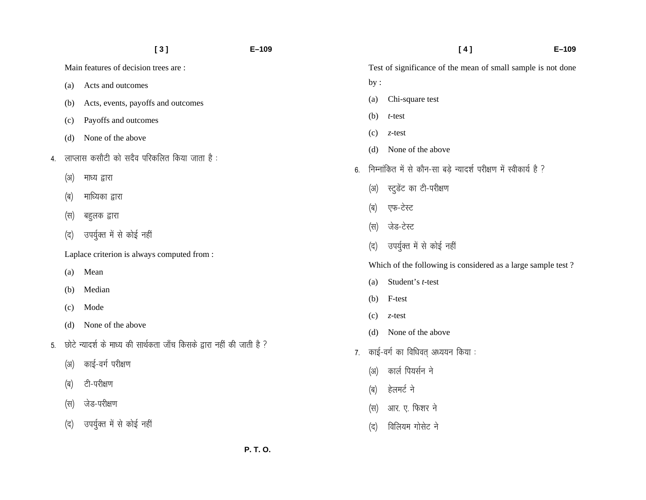|    |                                             | $[3]$                                                                  | $E - 109$ |                  | [4]<br>$E - 109$                                                  |  |
|----|---------------------------------------------|------------------------------------------------------------------------|-----------|------------------|-------------------------------------------------------------------|--|
|    |                                             | Main features of decision trees are:                                   |           |                  | Test of significance of the mean of small sample is not done      |  |
|    | (a)                                         | Acts and outcomes                                                      |           | by:              |                                                                   |  |
|    | (b)                                         | Acts, events, payoffs and outcomes                                     |           | (a)              | Chi-square test                                                   |  |
|    | (c)                                         | Payoffs and outcomes                                                   |           | (b)              | $t$ -test                                                         |  |
|    | (d)                                         | None of the above                                                      |           | (c)              | $z$ -test                                                         |  |
| 4. | लाप्लास कसौटी को सदैव परिकलित किया जाता है: |                                                                        |           | (d)              | None of the above                                                 |  |
|    | (3I)                                        | माध्य द्वारा                                                           | 6.        |                  | निम्नांकित में से कौन-सा बड़े न्यादर्श परीक्षण में स्वीकार्य है ? |  |
|    |                                             | माध्यिका द्वारा                                                        |           | (3I)             | स्टुडेंट का टी-परीक्षण                                            |  |
|    | (ब)                                         |                                                                        |           | (ब)              | एफ-टेस्ट                                                          |  |
|    | (स)                                         | बहुलक द्वारा                                                           |           | $(\overline{H})$ | जेड-टेस्ट                                                         |  |
|    | (द)                                         | उपर्युक्त में से कोई नहीं                                              |           | (द)              | उपर्युक्त में से कोई नहीं                                         |  |
|    |                                             | Laplace criterion is always computed from :                            |           |                  | Which of the following is considered as a large sample test?      |  |
|    | (a)                                         | Mean                                                                   |           | (a)              | Student's t-test                                                  |  |
|    | (b)                                         | Median                                                                 |           | (b)              | F-test                                                            |  |
|    | (c)                                         | Mode                                                                   |           | (c)              | $z$ -test                                                         |  |
|    | (d)                                         | None of the above                                                      |           | (d)              | None of the above                                                 |  |
| 5. |                                             | छोटे न्यादर्श के माध्य की सार्थकता जाँच किसके द्वारा नहीं की जाती है ? | 7.        |                  | काई-वर्ग का विधिवत् अध्ययन किया :                                 |  |
|    | (3I)                                        | काई-वर्ग परीक्षण                                                       |           | (3I)             | कार्ल पियर्सन ने                                                  |  |
|    | (ब)                                         | टी-परीक्षण                                                             |           |                  |                                                                   |  |
|    | (स)                                         | जेड-परीक्षण                                                            |           | (ब)              | हेलमर्ट ने                                                        |  |
|    |                                             |                                                                        |           | (स)              | आर. ए. फिशर ने                                                    |  |
|    | $(\vec{a})$                                 | उपर्युक्त में से कोई नहीं                                              |           | (द)              | विलियम गोसेट ने                                                   |  |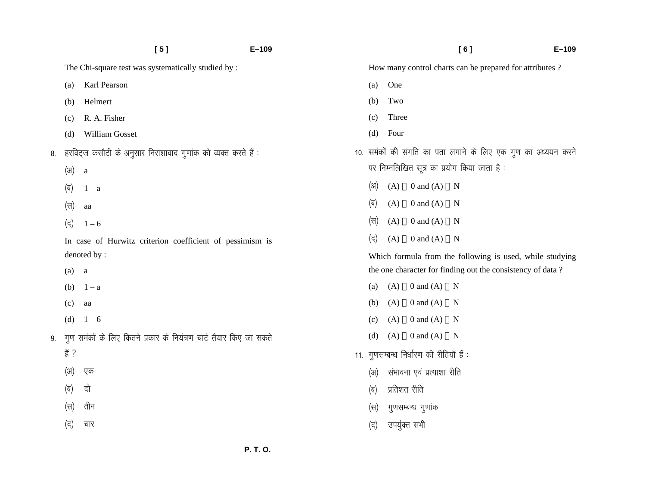|    | [5]                                                                | $E - 109$ |                                             | $E - 109$<br>[6]                                              |  |
|----|--------------------------------------------------------------------|-----------|---------------------------------------------|---------------------------------------------------------------|--|
|    | The Chi-square test was systematically studied by :                |           |                                             | How many control charts can be prepared for attributes?       |  |
|    | Karl Pearson<br>(a)                                                |           | One<br>(a)                                  |                                                               |  |
|    | Helmert<br>(b)                                                     |           | (b)<br>Two                                  |                                                               |  |
|    | R. A. Fisher<br>(c)                                                | (c)       | Three                                       |                                                               |  |
|    | William Gosset<br>(d)                                              |           | Four<br>(d)                                 |                                                               |  |
| 8. | हरविट्ज कसौटी के अनुसार निराशावाद गुणांक को व्यक्त करते हैं :      |           |                                             | 10. समंकों की संगति का पता लगाने के लिए एक गुण का अध्ययन करने |  |
|    | (3I)<br>$\mathbf{a}$                                               |           | पर निम्नलिखित सूत्र का प्रयोग किया जाता है: |                                                               |  |
|    | (ब)<br>$1 - a$                                                     |           | (3I)<br>$0$ and $(A)$<br>(A)                | $\mathbf N$                                                   |  |
|    | (स)<br>aa                                                          | (ब)       | $0$ and $(A)$<br>(A)                        | $\mathbf N$                                                   |  |
|    | (द)<br>$1 - 6$                                                     |           | (स)<br>$0$ and $(A)$<br>(A)                 | $\mathbf N$                                                   |  |
|    | In case of Hurwitz criterion coefficient of pessimism is           | (द)       | (A)<br>$0$ and $(A)$                        | $\mathbf N$                                                   |  |
|    | denoted by:                                                        |           |                                             | Which formula from the following is used, while studying      |  |
|    | (a)<br>a                                                           |           |                                             | the one character for finding out the consistency of data?    |  |
|    | $1 - a$<br>(b)                                                     |           | $0$ and $(A)$<br>(A)<br>(a)                 | $\mathbf N$                                                   |  |
|    | (c)<br>aa                                                          |           | $0$ and $(A)$<br>(A)<br>(b)                 | $\mathbf N$                                                   |  |
|    | $1 - 6$<br>(d)                                                     |           | $0$ and $(A)$<br>(A)<br>(c)                 | $\mathbf N$                                                   |  |
| 9. | गुण समंकों के लिए कितने प्रकार के नियंत्रण चार्ट तैयार किए जा सकते |           | $0$ and $(A)$ N<br>(d)<br>(A)               |                                                               |  |
|    | हैं ?                                                              |           | 11. गुणसम्बन्ध निर्धारण की रीतियाँ हैं :    |                                                               |  |
|    | (31)<br>एक                                                         |           | संभावना एवं प्रत्याशा रीति<br>(3I)          |                                                               |  |
|    | दो<br>(ब)                                                          | (ब)       | प्रतिशत रीति                                |                                                               |  |
|    | तीन<br>(स)                                                         | (स)       | गुणसम्बन्ध गुणांक                           |                                                               |  |
|    | (द)<br>चार                                                         | (द)       | उपर्युक्त सभी                               |                                                               |  |
|    |                                                                    |           |                                             |                                                               |  |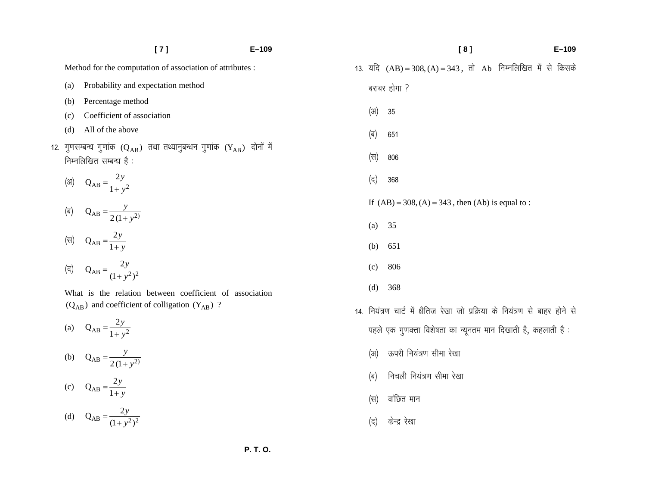|  |     | [7]                                                                                                                   | $E - 109$ |                 | [8]<br>$E-109$                                                               |  |
|--|-----|-----------------------------------------------------------------------------------------------------------------------|-----------|-----------------|------------------------------------------------------------------------------|--|
|  |     | Method for the computation of association of attributes :                                                             |           |                 | 13. यदि $(AB) = 308, (A) = 343$ , तो Ab निम्नलिखित में से किसके              |  |
|  | (a) | Probability and expectation method                                                                                    |           |                 | बराबर होगा ?                                                                 |  |
|  | (b) | Percentage method                                                                                                     |           |                 |                                                                              |  |
|  | (c) | Coefficient of association                                                                                            |           | (3)             | 35                                                                           |  |
|  | (d) | All of the above                                                                                                      |           | (ब)             | 651                                                                          |  |
|  |     | 12. गुणसम्बन्ध गुणांक ( $\rm{Q_{AB}}$ ) तथा तथ्यानुबन्धन गुणांक ( $\rm{Y_{AB}}$ ) दोनों में<br>निम्नलिखित सम्बन्ध है: |           | (स)             | 806                                                                          |  |
|  |     | (31) $Q_{AB} = \frac{2y}{1 + y^2}$                                                                                    |           | (द)             | 368                                                                          |  |
|  |     |                                                                                                                       |           |                 | If $(AB) = 308$ , $(A) = 343$ , then $(Ab)$ is equal to:                     |  |
|  |     | (a) $Q_{AB} = \frac{y}{2(1 + y^2)}$                                                                                   |           | (a)             | 35                                                                           |  |
|  |     | (स) $Q_{AB} = \frac{2y}{1+y}$                                                                                         |           | (b)             | 651                                                                          |  |
|  |     | ( <del>q</del> ) $Q_{AB} = \frac{2y}{(1 + y^2)^2}$                                                                    |           | (c)             | 806                                                                          |  |
|  |     | What is the relation between coefficient of association                                                               |           | (d)             | 368                                                                          |  |
|  |     | $(Q_{AB})$ and coefficient of colligation $(Y_{AB})$ ?                                                                |           |                 | 14. नियंत्रण चार्ट में क्षैतिज रेखा जो प्रक्रिया के नियंत्रण से बाहर होने से |  |
|  |     | (a) $Q_{AB} = \frac{2y}{1 + y^2}$                                                                                     |           |                 | पहले एक गुणवत्ता विशेषता का न्यूनतम मान दिखाती है, कहलाती है:                |  |
|  |     | (b) $Q_{AB} = \frac{y}{2(1+y^2)}$                                                                                     |           | $(\mathcal{H})$ | ऊपरी नियंत्रण सीमा रेखा                                                      |  |
|  |     | (c) $Q_{AB} = \frac{2y}{1+y}$                                                                                         |           | (ब)             | निचली नियंत्रण सीमा रेखा                                                     |  |
|  |     |                                                                                                                       |           | (स)             | वांछित मान                                                                   |  |
|  |     | (d) $Q_{AB} = \frac{2y}{(1 + y^2)^2}$                                                                                 |           | (द)             | केन्द्र रेखा                                                                 |  |

(द) केन्द्र रेखा

 **P. T. O.**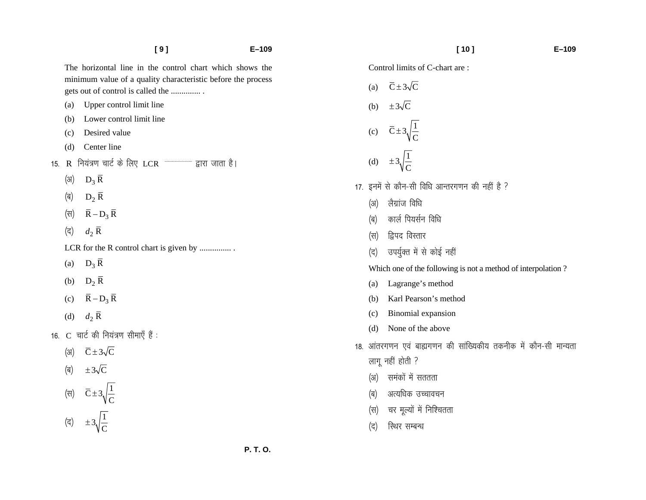|     |     | [9]<br>$E - 109$                                                                                                                                              |
|-----|-----|---------------------------------------------------------------------------------------------------------------------------------------------------------------|
|     |     | The horizontal line in the control chart which shows the<br>minimum value of a quality characteristic before the process<br>gets out of control is called the |
|     | (a) | Upper control limit line                                                                                                                                      |
|     |     | (b) Lower control limit line                                                                                                                                  |
|     |     | (c) Desired value                                                                                                                                             |
|     |     | (d) Center line                                                                                                                                               |
| 15. |     | R नियंत्रण चार्ट के लिए LCR $\overline{\phantom{a}}$ = हारा जाता है।                                                                                          |
|     |     | (अ) $D_3 R$                                                                                                                                                   |
|     |     | (ब) $D_2 \overline{R}$                                                                                                                                        |
|     |     | (स) $\bar{R} - D_3 \bar{R}$                                                                                                                                   |
|     |     | (द) $d_2 \overline{R}$                                                                                                                                        |
|     |     | LCR for the R control chart is given by                                                                                                                       |
|     |     | (a) $D_3 \overline{R}$                                                                                                                                        |
|     |     | (b) $D_2 \overline{R}$                                                                                                                                        |
|     |     | (c) $\overline{R} - D_3 \overline{R}$                                                                                                                         |
|     |     | (d) $d_2 \overline{R}$                                                                                                                                        |
|     |     | 16.  C  चार्ट की नियंत्रण सीमाएँ हैं :                                                                                                                        |
|     |     | (31) $\overline{C} \pm 3\sqrt{C}$                                                                                                                             |
|     |     | (ब) $\pm 3\sqrt{C}$                                                                                                                                           |
|     |     | (स) $\overline{C} \pm 3\sqrt{\frac{1}{C}}$                                                                                                                    |
|     |     | (द) $\pm 3\sqrt{\frac{1}{C}}$                                                                                                                                 |

Control limits of C-chart are :

(a)  $\overline{C} \pm 3\sqrt{C}$ (b)  $\pm 3\sqrt{C}$ (c)  $\overline{C} \pm 3 \sqrt{\frac{1}{C}}$ (d)  $\pm 3 \sqrt{\frac{1}{C}}$ 17. इनमें से कौन-सी विधि आन्तरगणन की नहीं है ? (अ) लैग्रांज विधि (ब) कार्ल पियर्सन विधि  $(\nabla f)$  द्विपद विस्तार (द) उपर्युक्त में से कोई नहीं Which one of the following is not a method of interpolation ? (a) Lagrange's method (b) Karl Pearson's method (c) Binomial expansion (d) None of the above 18. आंतरगणन एवं बाह्यगणन की सांख्यिकीय तकनीक में कौन-सी मान्यता लागू नहीं होती ? (अ) समंकों में सततता (ब) अत्यधिक उच्चावचन (स) चर मूल्यों में निश्चितता (द) रिथर सम्बन्ध

 **P. T. O.**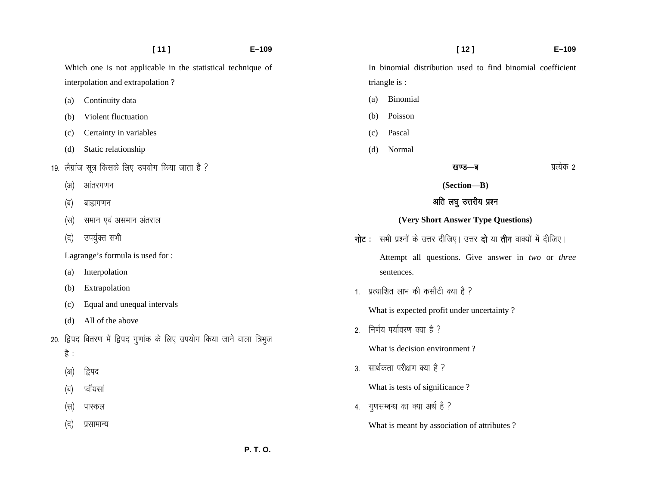|      | [11]                                                                   | $E - 109$ |                                            |                                                                                            | $[12]$                 | $E - 109$  |  |
|------|------------------------------------------------------------------------|-----------|--------------------------------------------|--------------------------------------------------------------------------------------------|------------------------|------------|--|
|      | Which one is not applicable in the statistical technique of            |           |                                            | In binomial distribution used to find binomial coefficient                                 |                        |            |  |
|      | interpolation and extrapolation?                                       |           |                                            | triangle is :                                                                              |                        |            |  |
| (a)  | Continuity data                                                        |           | (a)                                        | Binomial                                                                                   |                        |            |  |
| (b)  | Violent fluctuation                                                    |           | (b)                                        | Poisson                                                                                    |                        |            |  |
| (c)  | Certainty in variables                                                 |           | (c)                                        | Pascal                                                                                     |                        |            |  |
| (d)  | Static relationship                                                    |           | (d)                                        | Normal                                                                                     |                        |            |  |
|      | 19. लैग्रांज सूत्र किसके लिए उपयोग किया जाता है ?                      |           |                                            |                                                                                            | खण्ड—ब                 | प्रत्येक 2 |  |
| (3I) | आंतरगणन                                                                |           |                                            |                                                                                            | (Section-B)            |            |  |
| (ब)  | बाह्यगणन                                                               |           |                                            |                                                                                            | अति लघु उत्तरीय प्रश्न |            |  |
| (स)  | समान एवं असमान अंतराल                                                  |           |                                            | (Very Short Answer Type Questions)                                                         |                        |            |  |
| (द)  | उपर्युक्त सभी                                                          |           |                                            | <b>नोट</b> : सभी प्रश्नों के उत्तर दीजिए। उत्तर <b>दो</b> या <b>तीन</b> वाक्यों में दीजिए। |                        |            |  |
|      | Lagrange's formula is used for :                                       |           |                                            | Attempt all questions. Give answer in two or three                                         |                        |            |  |
| (a)  | Interpolation                                                          |           |                                            | sentences.                                                                                 |                        |            |  |
| (b)  | Extrapolation                                                          |           | 1. प्रत्याशित लाभ की कसौटी क्या है ?       |                                                                                            |                        |            |  |
| (c)  | Equal and unequal intervals                                            |           | What is expected profit under uncertainty? |                                                                                            |                        |            |  |
| (d)  | All of the above                                                       | 2.        |                                            | निर्णय पर्यावरण क्या है ?                                                                  |                        |            |  |
|      | 20. द्विपद वितरण में द्विपद गुणांक के लिए उपयोग किया जाने वाला त्रिभुज |           |                                            |                                                                                            |                        |            |  |
| है : |                                                                        |           | What is decision environment?              |                                                                                            |                        |            |  |
| (3I) | द्विपद                                                                 | 3.        |                                            | सार्थकता परीक्षण क्या है ?                                                                 |                        |            |  |
| (ब)  | प्वॉयसां                                                               |           |                                            | What is tests of significance?                                                             |                        |            |  |
| (स)  | पास्कल                                                                 | 4.        |                                            | गुणसम्बन्ध का क्या अर्थ है ?                                                               |                        |            |  |
| (द)  | प्रसामान्य                                                             |           |                                            | What is meant by association of attributes?                                                |                        |            |  |
|      |                                                                        | P. T. O.  |                                            |                                                                                            |                        |            |  |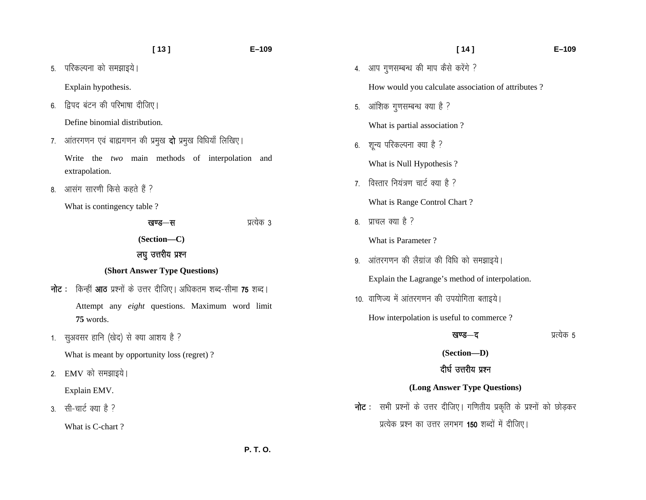5. परिकल्पना को समझाइये।

Explain hypothesis.

6. द्विपद बंटन की परिभाषा दीजिए।

Define binomial distribution.

7. आंतरगणन एवं बाह्यगणन की प्रमुख **दो** प्रमुख विधियाँ लिखिए।

Write the *two* main methods of interpolation and extrapolation.

8. आसंग सारणी किसे कहते हैं ?

What is contingency table ?

| खण्ड—स                        | प्रत्यक ३ |
|-------------------------------|-----------|
| (Section—C)                   |           |
| लघु उत्तरीय प्रश्न            |           |
| (Short Answer Type Questions) |           |

- $\overline{\mathbf{h}}$ ट : किन्हीं आठ प्रश्नों के उत्तर दीजिए। अधिकतम शब्द-सीमा 75 शब्द। Attempt any *eight* questions. Maximum word limit **75** words.
- 1. सुअवसर हानि (खेद) से क्या आशय है ?

What is meant by opportunity loss (regret) ?

2. EMV को समझाइये।

Explain EMV.

3. सी-चार्ट क्या है ?

What is C-chart ?

 **[ 14 ] E–109** 

4. आप गुणसम्बन्ध की माप कैसे करेंगे ?

How would you calculate association of attributes ?

5. आंशिक गुणसम्बन्ध क्या है ?

What is partial association ?

6. शून्य परिकल्पना क्या है ?

What is Null Hypothesis ?

7. विस्तार नियंत्रण चार्ट क्या है ?

What is Range Control Chart ?

 $8 - \sqrt{3}$   $\frac{1}{2}$   $\frac{1}{2}$   $\frac{1}{2}$   $\frac{1}{2}$   $\frac{1}{2}$   $\frac{1}{2}$   $\frac{1}{2}$   $\frac{1}{2}$   $\frac{1}{2}$   $\frac{1}{2}$   $\frac{1}{2}$   $\frac{1}{2}$   $\frac{1}{2}$   $\frac{1}{2}$   $\frac{1}{2}$   $\frac{1}{2}$   $\frac{1}{2}$   $\frac{1}{2}$   $\frac{1}{2}$   $\frac{1}{2}$   $\frac{1}{2}$ 

What is Parameter ?

9. आंतरगणन की लैग्रांज की विधि को समझाइये।

Explain the Lagrange's method of interpolation.

10. वाणिज्य में आंतरगणन की उपयोगिता बताइये।

How interpolation is useful to commerce ?

**खण्ड—द** अत्येक 5

**(Section—D)** 

## दीर्घ उत्तरीय प्रश्न

### **(Long Answer Type Questions)**

**नोट**: सभी प्रश्नों के उत्तर दीजिए। गणितीय प्रकृति के प्रश्नों को छोड़कर प्रत्येक प्रश्न का उत्तर लगभग 150 शब्दों में दीजिए।